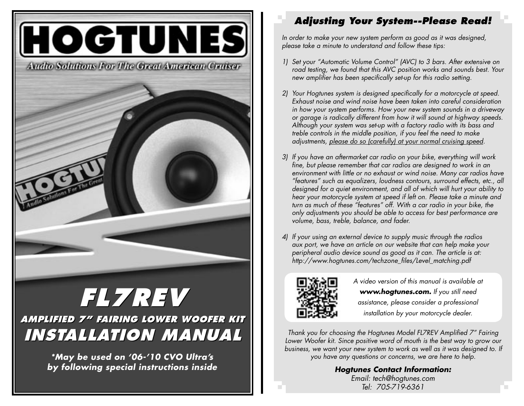

**\*May be used on '06-'10 CVO Ultra's by following special instructions inside**

## **Adjusting Your System--Please Read!**

In order to make your new system perform as good as it was designed, please take a minute to understand and follow these tips:

- 1) Set your "Automatic Volume Control" (AVC) to 3 bars. After extensive on road testing, we found that this AVC position works and sounds best. Your new amplifier has been specifically set-up for this radio setting.
- 2) Your Hogtunes system is designed specifically for a motorcycle at speed. Exhaust noise and wind noise have been taken into careful consideration in how your system performs. How your new system sounds in a driveway or garage is radically different from how it will sound at highway speeds. Although your system was set-up with a factory radio with its bass and treble controls in the middle position, if you feel the need to make adjustments, please do so (carefully) at your normal cruising speed.
- 3) If you have an aftermarket car radio on your bike, everything will work fine, but please remember that car radios are designed to work in an environment with little or no exhaust or wind noise. Many car radios have "features" such as equalizers, loudness contours, surround effects, etc., all designed for a quiet environment, and all of which will hurt your ability to hear your motorcycle system at speed if left on. Please take a minute and turn as much of these "features" off. With a car radio in your bike, the only adjustments you should be able to access for best performance are volume, bass, treble, balance, and fader.
- 4) If your using an external device to supply music through the radios aux port, we have an article on our website that can help make your peripheral audio device sound as good as it can. The article is at: http://www.hogtunes.com/techzone\_files/Level\_matching.pdf



A video version of this manual is available at www.hogtunes.com. If you still need assistance, please consider a professional installation by your motorcycle dealer.

Thank you for choosing the Hogtunes Model FL7REV Amplified 7" Fairing Lower Woofer kit. Since positive word of mouth is the best way to grow our business, we want your new system to work as well as it was designed to. If you have any questions or concerns, we are here to help.

> **Hogtunes Contact Information:** Email: tech@hogtunes.com Tel: 705-719-6361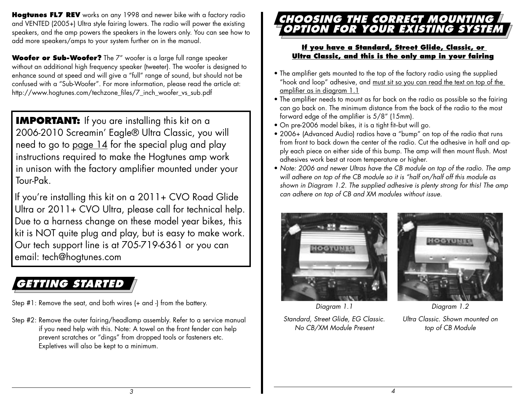**Hogtunes FL7 REV** works on any 1998 and newer bike with a factory radio and VENTED (2005+) Ultra style fairing lowers. The radio will power the existing speakers, and the amp powers the speakers in the lowers only. You can see how to add more speakers/amps to your system further on in the manual.

**Woofer or Sub-Woofer?** The 7" woofer is a large full range speaker without an additional high frequency speaker (tweeter). The woofer is designed to enhance sound at speed and will give a "full" range of sound, but should not be confused with a "Sub-Woofer". For more information, please read the article at: http://www.hogtunes.com/techzone\_files/7\_inch\_woofer\_vs\_sub.pdf

**IMPORTANT:** If you are installing this kit on a 2006-2010 Screamin' Eagle® Ultra Classic, you will need to go to page  $14$  for the special plug and play instructions required to make the Hogtunes amp work in unison with the factory amplifier mounted under your Tour-Pak.

If you're installing this kit on a 2011+ CVO Road Glide Ultra or 2011+ CVO Ultra, please call for technical help. Due to a harness change on these model year bikes, this kit is NOT quite plug and play, but is easy to make work. Our tech support line is at 705-719-6361 or you can email: tech@hogtunes.com

# **GETTING STARTED**

Step #1: Remove the seat, and both wires (+ and -) from the battery.

Step #2: Remove the outer fairing/headlamp assembly. Refer to a service manual if you need help with this. Note: A towel on the front fender can help prevent scratches or "dings" from dropped tools or fasteners etc. Expletives will also be kept to a minimum.

## **CHOOSING THE CORRECT MOUNTING OPTION FOR YOUR EXISTING SYSTEM**

#### **If you have a Standard, Street Glide, Classic, or Ultra Classic, and this is the only amp in your fairing**

- The amplifier gets mounted to the top of the factory radio using the supplied "hook and loop" adhesive, and must sit so you can read the text on top of the amplifier as in diagram 1.1
- The amplifier needs to mount as far back on the radio as possible so the fairing can go back on. The minimum distance from the back of the radio to the most forward edge of the amplifier is 5/8" (15mm).
- On pre-2006 model bikes, it is a tight fit-but will go.
- 2006+ (Advanced Audio) radios have a "bump" on top of the radio that runs from front to back down the center of the radio. Cut the adhesive in half and apply each piece on either side of this bump. The amp will then mount flush. Most adhesives work best at room temperature or higher.
- Note: 2006 and newer Ultras have the CB module on top of the radio. The amp will adhere on top of the CB module so it is "half on/half off this module as shown in Diagram 1.2. The supplied adhesive is plenty strong for this! The amp can adhere on top of CB and XM modules without issue.





Diagram 1.1

Standard, Street Glide, EG Classic. No CB/XM Module Present

Diagram 1.2

Ultra Classic. Shown mounted on top of CB Module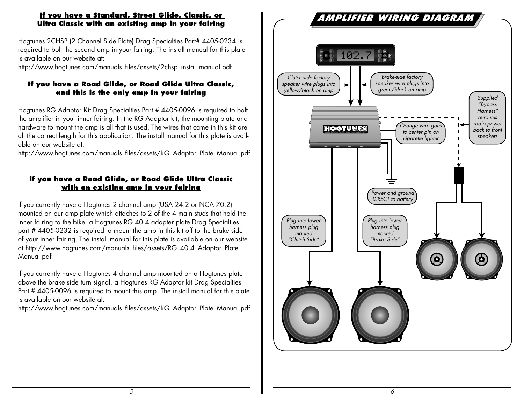#### **If you have a Standard, Street Glide, Classic, or Ultra Classic with an existing amp in your fairing**

 Hogtunes 2CHSP (2 Channel Side Plate) Drag Specialties Part# 4405-0234 is required to bolt the second amp in your fairing. The install manual for this plate is available on our website at:

http://www.hogtunes.com/manuals\_files/assets/2chsp\_instal\_manual.pdf

#### **If you have a Road Glide, or Road Glide Ultra Classic, and this is the only amp in your fairing**

 Hogtunes RG Adaptor Kit Drag Specialties Part # 4405-0096 is required to bolt the amplifier in your inner fairing. In the RG Adaptor kit, the mounting plate and hardware to mount the amp is all that is used. The wires that came in this kit are all the correct length for this application. The install manual for this plate is available on our website at:

http://www.hogtunes.com/manuals\_files/assets/RG\_Adaptor\_Plate\_Manual.pdf

#### **If you have a Road Glide, or Road Glide Ultra Classic with an existing amp in your fairing**

 If you currently have a Hogtunes 2 channel amp (USA 24.2 or NCA 70.2) mounted on our amp plate which attaches to 2 of the 4 main studs that hold the inner fairing to the bike, a Hogtunes RG 40.4 adapter plate Drag Specialties part # 4405-0232 is required to mount the amp in this kit off to the brake side of your inner fairing. The install manual for this plate is available on our website at http://www.hogtunes.com/manuals\_files/assets/RG\_40.4\_Adaptor\_Plate\_ Manual.pdf

 If you currently have a Hogtunes 4 channel amp mounted on a Hogtunes plate above the brake side turn signal, a Hogtunes RG Adaptor kit Drag Specialties Part # 4405-0096 is required to mount this amp. The install manual for this plate is available on our website at:

http://www.hogtunes.com/manuals\_files/assets/RG\_Adaptor\_Plate\_Manual.pdf

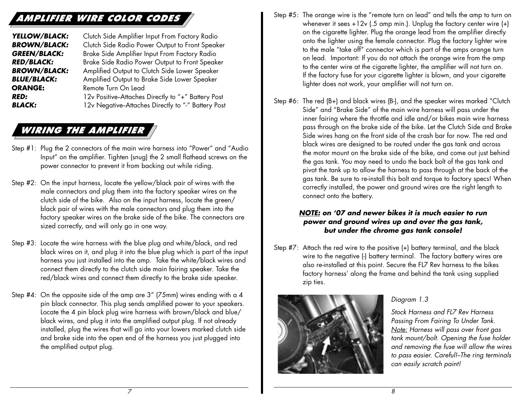## **AMPLIFIER WIRE COLOR CODES**

**YELLOW/BLACK:** Clutch Side Amplifier Input From Factory Radio **BROWN/BLACK:** Clutch Side Radio Power Output to Front Speaker **GREEN/BLACK:** Brake Side Amplifier Input From Factory Radio **RED/BLACK:** Brake Side Radio Power Output to Front Speaker **BROWN/BLACK:** Amplified Output to Clutch Side Lower Speaker **BLUE/BLACK:** Amplified Output to Brake Side Lower Speaker **ORANGE:** Remote Turn On Lead **RED:** 12v Positive-Attaches Directly to "+" Battery Post **BLACK:** 12v Negative-Attaches Directly to "-" Battery Post

## **WIRING THE AMPLIFIER**

- Step #1: Plug the 2 connectors of the main wire harness into "Power" and "Audio Input" on the amplifier. Tighten (snug) the 2 small flathead screws on the power connector to prevent it from backing out while riding.
- Step #2: On the input harness, locate the yellow/black pair of wires with the male connectors and plug them into the factory speaker wires on the clutch side of the bike. Also on the input harness, locate the green/ black pair of wires with the male connectors and plug them into the factory speaker wires on the brake side of the bike. The connectors are sized correctly, and will only go in one way.
- Step #3: Locate the wire harness with the blue plug and white/black, and red black wires on it, and plug it into the blue plug which is part of the input harness you just installed into the amp. Take the white/black wires and connect them directly to the clutch side main fairing speaker. Take the red/black wires and connect them directly to the brake side speaker.
- Step #4: On the opposite side of the amp are 3" (75mm) wires ending with a 4 pin black connector. This plug sends amplified power to your speakers. Locate the 4 pin black plug wire harness with brown/black and blue/ black wires, and plug it into the amplified output plug. If not already installed, plug the wires that will go into your lowers marked clutch side and brake side into the open end of the harness you just plugged into the amplified output plug.
- Step #5: The orange wire is the "remote turn on lead" and tells the amp to turn on whenever it sees  $+12v$  (.5 amp min.). Unplug the factory center wire  $(+)$ on the cigarette lighter. Plug the orange lead from the amplifier directly onto the lighter using the female connector. Plug the factory lighter wire to the male "take off" connector which is part of the amps orange turn on lead. Important: If you do not attach the orange wire from the amp to the center wire at the cigarette lighter, the amplifier will not turn on. If the factory fuse for your cigarette lighter is blown, and your cigarette lighter does not work, your amplifier will not turn on.
- Step #6: The red (B+) and black wires (B-), and the speaker wires marked "Clutch Side" and "Brake Side" of the main wire harness will pass under the inner fairing where the throttle and idle and/or bikes main wire harness pass through on the brake side of the bike. Let the Clutch Side and Brake Side wires hang on the front side of the crash bar for now. The red and black wires are designed to be routed under the gas tank and across the motor mount on the brake side of the bike, and come out just behind the gas tank. You may need to undo the back bolt of the gas tank and pivot the tank up to allow the harness to pass through at the back of the gas tank. Be sure to re-install this bolt and torque to factory specs! When correctly installed, the power and ground wires are the right length to connect onto the battery.

#### **NOTE: on '07 and newer bikes it is much easier to run power and ground wires up and over the gas tank, but under the chrome gas tank console!**

Step #7: Attach the red wire to the positive (+) battery terminal, and the black wire to the negative (-) battery terminal. The factory battery wires are also re-installed at this point. Secure the FL7 Rev harness to the bikes factory harness' along the frame and behind the tank using supplied zip ties.

8



#### Diagram 1.3

Stock Harness and FL7 Rev Harness Passing From Fairing To Under Tank. Note: Harness will pass over front gas tank mount/bolt. Opening the fuse holder and removing the fuse will allow the wires to pass easier. Careful!-The ring terminals can easily scratch paint!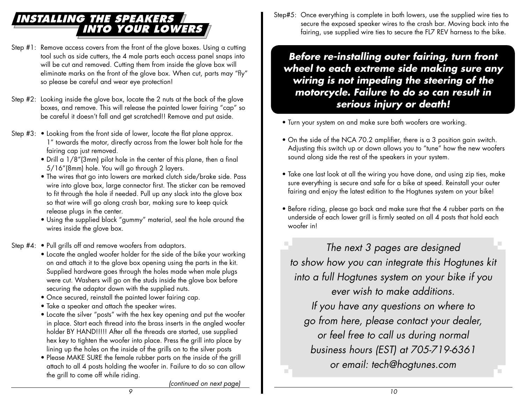## **INSTALLING THE SPEAKERS INTO YOUR LOWERS**

- Step #1: Remove access covers from the front of the glove boxes. Using a cutting tool such as side cutters, the 4 male parts each access panel snaps into will be cut and removed. Cutting them from inside the glove box will eliminate marks on the front of the glove box. When cut, parts may "fly" so please be careful and wear eye protection!
- Step #2: Looking inside the glove box, locate the 2 nuts at the back of the glove boxes, and remove. This will release the painted lower fairing "cap" so be careful it doesn't fall and get scratched!! Remove and put aside.
- Step #3: Looking from the front side of lower, locate the flat plane approx. 1" towards the motor, directly across from the lower bolt hole for the fairing cap just removed.
	- Drill a 1/8"(3mm) pilot hole in the center of this plane, then a final 5/16"(8mm) hole. You will go through 2 layers.
	- The wires that go into lowers are marked clutch side/brake side. Pass wire into glove box, large connector first. The sticker can be removed to fit through the hole if needed. Pull up any slack into the glove box so that wire will go along crash bar, making sure to keep quick release plugs in the center.
	- Using the supplied black "gummy" material, seal the hole around the wires inside the glove box.
- Step #4: Pull grills off and remove woofers from adaptors.
	- Locate the angled woofer holder for the side of the bike your working on and attach it to the glove box opening using the parts in the kit. Supplied hardware goes through the holes made when male plugs were cut. Washers will go on the studs inside the glove box before securing the adaptor down with the supplied nuts.
	- Once secured, reinstall the painted lower fairing cap.
	- Take a speaker and attach the speaker wires.
	- Locate the silver "posts" with the hex key opening and put the woofer in place. Start each thread into the brass inserts in the angled woofer holder BY HAND!!!!! After all the threads are started, use supplied hex key to tighten the woofer into place. Press the grill into place by lining up the holes on the inside of the grills on to the silver posts
	- Please MAKE SURE the female rubber parts on the inside of the grill attach to all 4 posts holding the woofer in. Failure to do so can allow the grill to come off while riding.

Step#5: Once everything is complete in both lowers, use the supplied wire ties to secure the exposed speaker wires to the crash bar. Moving back into the fairing, use supplied wire ties to secure the FL7 REV harness to the bike.

**Before re-installing outer fairing, turn front wheel to each extreme side making sure any wiring is not impeding the steering of the motorcycle. Failure to do so can result in serious injury or death!**

- Turn your system on and make sure both woofers are working.
- On the side of the NCA 70.2 amplifier, there is a 3 position gain switch. Adjusting this switch up or down allows you to "tune" how the new woofers sound along side the rest of the speakers in your system.
- Take one last look at all the wiring you have done, and using zip ties, make sure everything is secure and safe for a bike at speed. Reinstall your outer fairing and enjoy the latest edition to the Hogtunes system on your bike!
- Before riding, please go back and make sure that the 4 rubber parts on the underside of each lower grill is firmly seated on all 4 posts that hold each woofer in!

The next 3 pages are designed to show how you can integrate this Hogtunes kit into a full Hogtunes system on your bike if you ever wish to make additions.

If you have any questions on where to go from here, please contact your dealer, or feel free to call us during normal business hours (EST) at 705-719-6361 or email: tech@hogtunes.com

(continued on next page)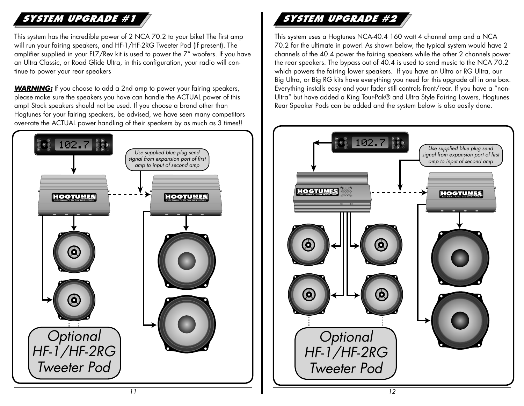## **SYSTEM UPGRADE #1**

This system has the incredible power of 2 NCA 70.2 to your bike! The first amp will run your fairing speakers, and HF-1/HF-2RG Tweeter Pod (if present). The amplifier supplied in your FL7/Rev kit is used to power the 7" woofers. If you have an Ultra Classic, or Road Glide Ultra, in this configuration, your radio will continue to power your rear speakers

**WARNING:** If you choose to add a 2nd amp to power your fairing speakers, please make sure the speakers you have can handle the ACTUAL power of this amp! Stock speakers should not be used. If you choose a brand other than Hogtunes for your fairing speakers, be advised, we have seen many competitors over-rate the ACTUAL power handling of their speakers by as much as 3 times!!



## **SYSTEM UPGRADE #2**

This system uses a Hogtunes NCA-40.4 160 watt 4 channel amp and a NCA 70.2 for the ultimate in power! As shown below, the typical system would have 2 channels of the 40.4 power the fairing speakers while the other 2 channels power the rear speakers. The bypass out of 40.4 is used to send music to the NCA 70.2 which powers the fairing lower speakers. If you have an Ultra or RG Ultra, our Big Ultra, or Big RG kits have everything you need for this upgrade all in one box. Everything installs easy and your fader still controls front/rear. If you have a "non-Ultra" but have added a King Tour-Pak® and Ultra Style Fairing Lowers, Hogtunes Rear Speaker Pods can be added and the system below is also easily done.

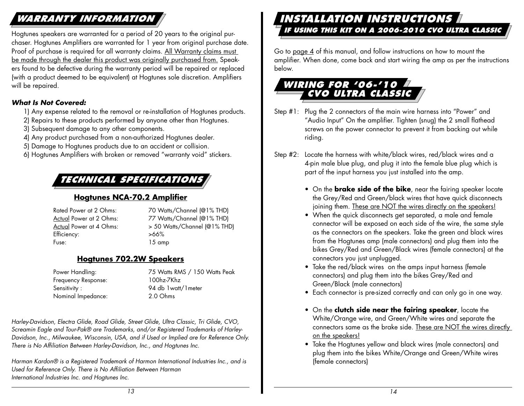## **WARRANTY INFORMATION**

Hogtunes speakers are warranted for a period of 20 years to the original purchaser. Hogtunes Amplifiers are warranted for 1 year from original purchase date. Proof of purchase is required for all warranty claims. All Warranty claims must be made through the dealer this product was originally purchased from. Speakers found to be defective during the warranty period will be repaired or replaced (with a product deemed to be equivalent) at Hogtunes sole discretion. Amplifiers will be repaired.

#### **What Is Not Covered:**

- 1) Any expense related to the removal or re-installation of Hogtunes products.
- 2) Repairs to these products performed by anyone other than Hogtunes.
- 3) Subsequent damage to any other components.
- 4) Any product purchased from a non-authorized Hogtunes dealer.
- 5) Damage to Hogtunes products due to an accident or collision.
- 6) Hogtunes Amplifiers with broken or removed "warranty void" stickers.

## **TECHNICAL SPECIFICATIONS**

#### **Hogtunes NCA-70.2 Amplifier**

Efficiency:  $>66\%$ Fuse: 15 amp

Rated Power at 2 Ohms: 70 Watts/Channel (@1% THD) Actual Power at 2 Ohms: 77 Watts/Channel (@1% THD) Actual Power at 4 Ohms: > 50 Watts/Channel (@1% THD)

#### **Hogtunes 702.2W Speakers**

 Frequency Response: 100hz-7Khz Sensitivity : 94 db 1watt/1meter Nominal Impedance: 2.0 Ohms

Power Handling: 75 Watts RMS / 150 Watts Peak

Harley-Davidson, Electra Glide, Road Glide, Street Glide, Ultra Classic, Tri Glide, CVO, Screamin Eagle and Tour-Pak® are Trademarks, and/or Registered Trademarks of Harley-Davidson, Inc., Milwaukee, Wisconsin, USA, and if Used or Implied are for Reference Only. There is No Affiliation Between Harley-Davidson, Inc., and Hogtunes Inc.

Harman Kardon® is a Registered Trademark of Harmon International Industries Inc., and is Used for Reference Only. There is No Affiliation Between Harman International Industries Inc. and Hogtunes Inc.

#### **INSTALLATION INSTRUCTIONS IF USING THIS KIT ON A 2006-2010 CVO ULTRA CLASSIC**

Go to page 4 of this manual, and follow instructions on how to mount the amplifier. When done, come back and start wiring the amp as per the instructions below.

### **WIRING FOR '06-'10 CVO ULTRA CLASSIC**

- Step #1: Plug the 2 connectors of the main wire harness into "Power" and "Audio Input" On the amplifier. Tighten (snug) the 2 small flathead screws on the power connector to prevent it from backing out while riding.
- Step #2: Locate the harness with white/black wires, red/black wires and a 4-pin male blue plug, and plug it into the female blue plug which is part of the input harness you just installed into the amp.
	- On the **brake side of the bike**, near the fairing speaker locate the Grey/Red and Green/black wires that have quick disconnects joining them. These are NOT the wires directly on the speakers!
	- When the quick disconnects get separated, a male and female connector will be exposed on each side of the wire, the same style as the connectors on the speakers. Take the green and black wires from the Hogtunes amp (male connectors) and plug them into the bikes Grey/Red and Green/Black wires (female connectors) at the connectors you just unplugged.
	- Take the red/black wires on the amps input harness (female connectors) and plug them into the bikes Grey/Red and Green/Black (male connectors)
	- Each connector is pre-sized correctly and can only go in one way.
	- On the **clutch side near the fairing speaker**, locate the White/Orange wire, and Green/White wires and separate the connectors same as the brake side. These are NOT the wires directly on the speakers!
	- Take the Hogtunes yellow and black wires (male connectors) and plug them into the bikes White/Orange and Green/White wires (female connectors)